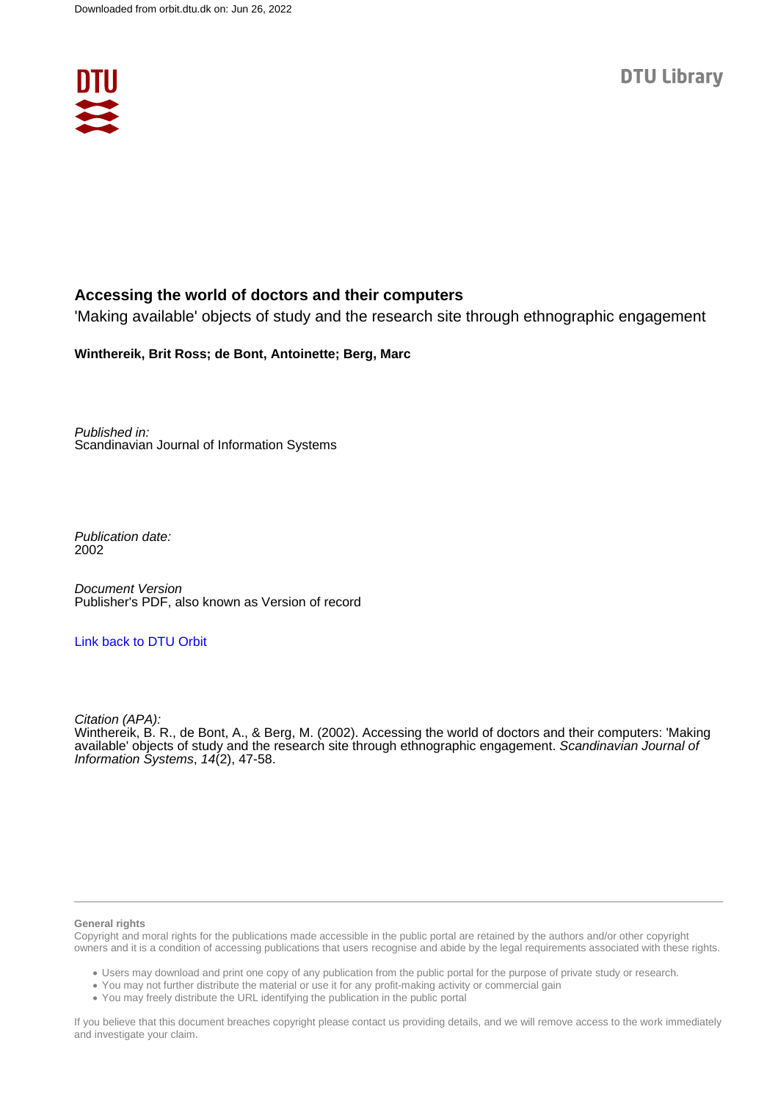

# **Accessing the world of doctors and their computers**

'Making available' objects of study and the research site through ethnographic engagement

# **Winthereik, Brit Ross; de Bont, Antoinette; Berg, Marc**

Published in: Scandinavian Journal of Information Systems

Publication date: 2002

Document Version Publisher's PDF, also known as Version of record

# [Link back to DTU Orbit](https://orbit.dtu.dk/en/publications/30327a80-287c-48b5-82b3-2c25386dfa0f)

Citation (APA): Winthereik, B. R., de Bont, A., & Berg, M. (2002). Accessing the world of doctors and their computers: 'Making available' objects of study and the research site through ethnographic engagement. Scandinavian Journal of Information Systems,  $14(2)$ , 47-58.

## **General rights**

Copyright and moral rights for the publications made accessible in the public portal are retained by the authors and/or other copyright owners and it is a condition of accessing publications that users recognise and abide by the legal requirements associated with these rights.

Users may download and print one copy of any publication from the public portal for the purpose of private study or research.

- You may not further distribute the material or use it for any profit-making activity or commercial gain
- You may freely distribute the URL identifying the publication in the public portal

If you believe that this document breaches copyright please contact us providing details, and we will remove access to the work immediately and investigate your claim.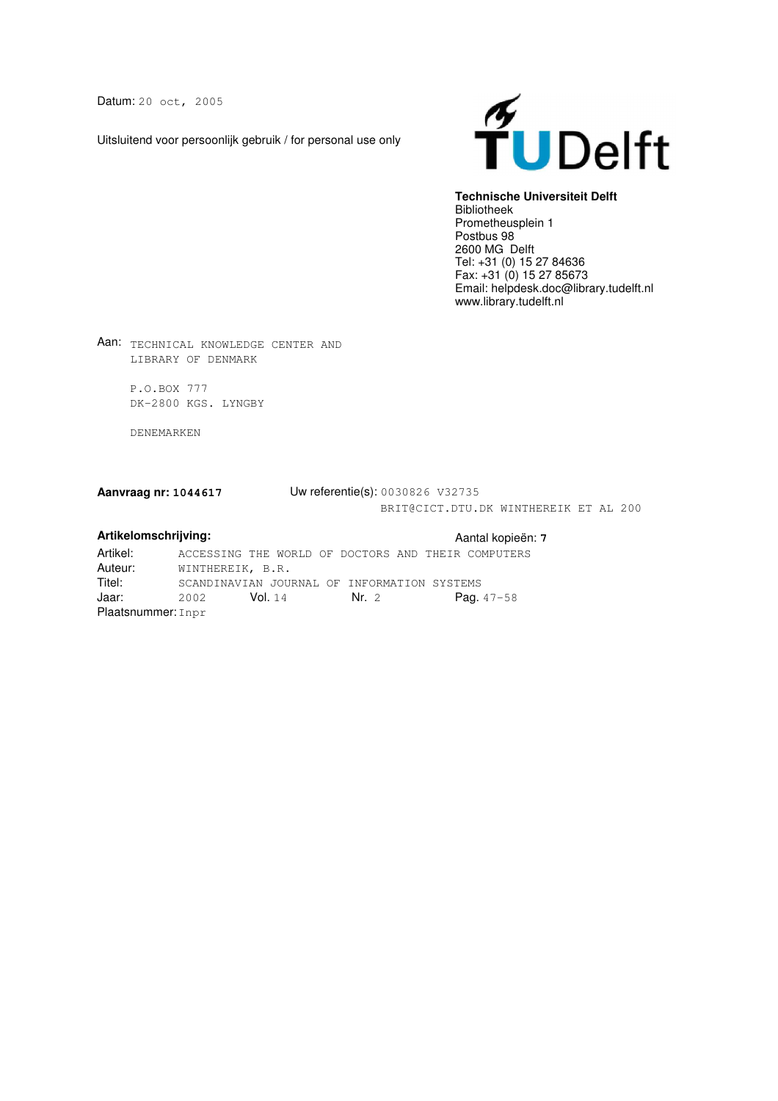Datum: 20 oct, 2005

Uitsluitend voor persoonlijk gebruik / for personal use only



## **Technische Universiteit Delft**

Bibliotheek Prometheusplein 1 Postbus 98 2600 MG Delft Tel: +31 (0) 15 27 84636 Fax: +31 (0) 15 27 85673 Email: helpdesk.doc@library.tudelft.nl www.library.tudelft.nl

Aan: TECHNICAL KNOWLEDGE CENTER AND LIBRARY OF DENMARK

> P.O.BOX 777 DK-2800 KGS. LYNGBY

DENEMARKEN

## **Aanvraag nr: 1044617** Uw referentie(s): 0030826 V32735 BRIT@CICT.DTU.DK WINTHEREIK ET AL 200

**Artikelomschrijving:** Aantal kopieën: **7** Artikel: ACCESSING THE WORLD OF DOCTORS AND THEIR COMPUTERS<br>Auteur: WINTHEREIK, B.R. **Auteur:** WINTHEREIK, B.R.<br>Titel: SCANDINAVIAN JOUE Titel: SCANDINAVIAN JOURNAL OF INFORMATION SYSTEMS<br>Jaar: 2002 Vol.14 Nr. 2 Paq. 2002 **Vol.** 14 **Nr.** 2 **Pag.** 47-58 Plaatsnummer: Inpr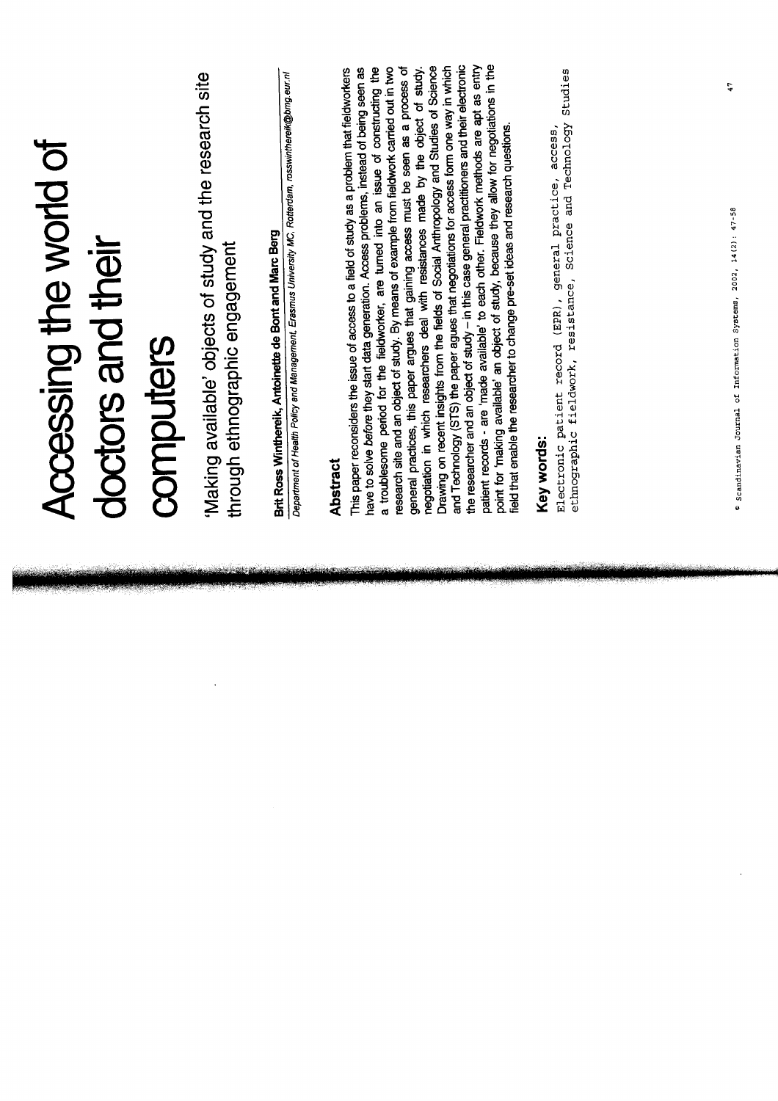| Accessing the world of<br>doctors and their | Making available' objects of study and the research site<br>through ethnographic engagement<br>computers | Department of Health Policy and Management, Erasmus University MC, Rotterdam, rosswinthereik@brng.eur.nl<br>Brit Ross Winthereik, Antoinette de Bont and Marc Berg | point for 'making available' an object of study, because they allow for negotiations in the<br>the researcher and an object of study - in this case general practitioners and their electronic<br>patient records - are 'made available' to each other. Fieldwork methods are apt as entry<br>and Technology (STS) the paper agues that negotiations for access form one way in which<br>Drawing on recent insights from the fields of Social Anthropology and Studies of Science<br>general practices, this paper argues that gaining access must be seen as a process of<br>a troublesome period for the fieldworker, are turned into an issue of constructing the<br>research site and an object of study. By means of example from fieldwork carried out in two<br>have to solve before they start data generation. Access problems, instead of being seen as<br>negotiation in which researchers deal with resistances made by the object of study.<br>This paper reconsiders the issue of access to a field of study as a problem that fieldworkers<br>field that enable the researcher to change pre-set ideas and research questions.<br>Abstract | Studies<br>ethnographic fieldwork, resistance, Science and Technology<br>access,<br>Electronic patient record (EPR), general practice,<br>Key words: |
|---------------------------------------------|----------------------------------------------------------------------------------------------------------|--------------------------------------------------------------------------------------------------------------------------------------------------------------------|-----------------------------------------------------------------------------------------------------------------------------------------------------------------------------------------------------------------------------------------------------------------------------------------------------------------------------------------------------------------------------------------------------------------------------------------------------------------------------------------------------------------------------------------------------------------------------------------------------------------------------------------------------------------------------------------------------------------------------------------------------------------------------------------------------------------------------------------------------------------------------------------------------------------------------------------------------------------------------------------------------------------------------------------------------------------------------------------------------------------------------------------------------------|------------------------------------------------------------------------------------------------------------------------------------------------------|
|                                             |                                                                                                          | $\mathcal{L}_{\text{max}}$ , and $\mathcal{L}_{\text{max}}$                                                                                                        |                                                                                                                                                                                                                                                                                                                                                                                                                                                                                                                                                                                                                                                                                                                                                                                                                                                                                                                                                                                                                                                                                                                                                           |                                                                                                                                                      |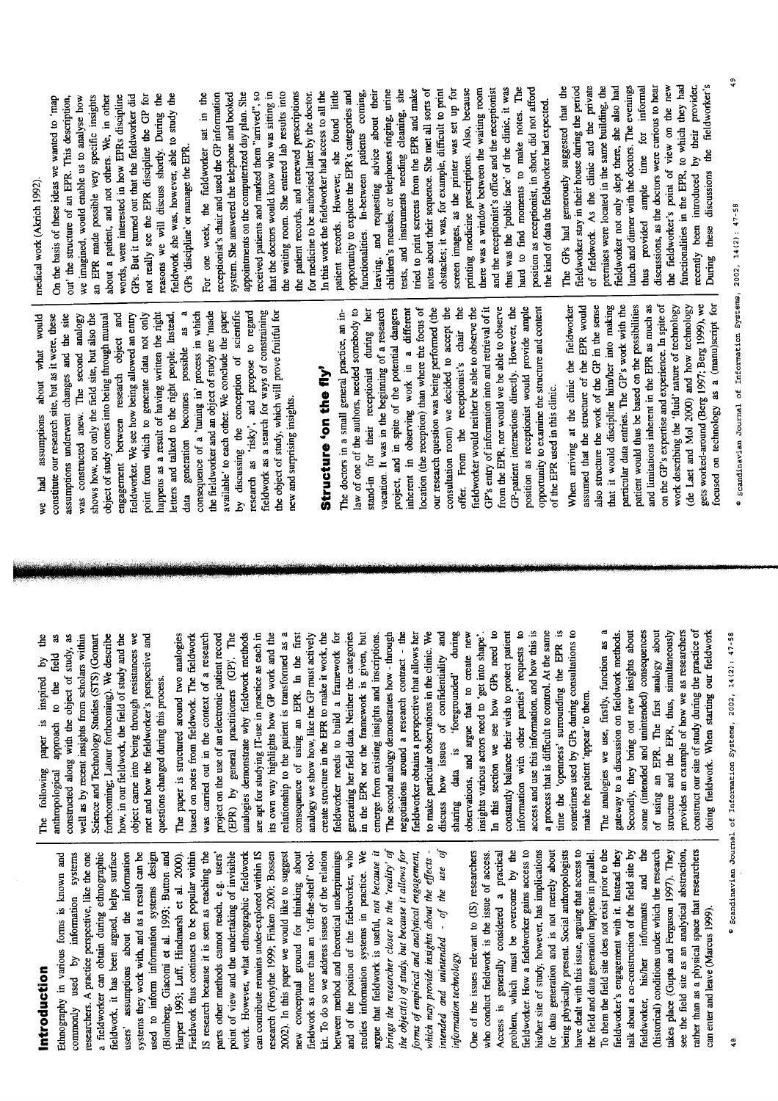Introduction

which may provide insights about the effects intended and unintended - of the use of the object(s) of study, but because it allows for can contribute remains under-explored within IS kit. To do so we address issues of the relation argue that fieldwork is useful, not because it brings the researcher closer to the 'reality' of fieldwork, it has been argued, helps surface IS research because it is seen as reaching the point of view and the undertaking of invisible work. However, what ethnographic fieldwork research (Forsythe 1999; Finken 2000; Bossen 2002). In this paper we would like to suggest new conceptual ground for thinking about fieldwork as more than an 'off-the-shelf' toolbetween method and theoretical underpinnings and of the position of the fieldworker, who **We** Ethnography in various forms is known and commonly used by information systems researchers. A practice perspective, like the one a fieldworker can obtain during ethnographic users' assumptions about the information systems they work with, and as a result can be used to inform information systems design Blomberg, Giacomi et al. 1993; Button and Harper 1993; Luff, Hindmarsh et al. 2000). Fieldwork thus continues to be popular within parts other methods cannot reach, e.g. users' forms of empirical and analytical engagement, studies information systems in practice. information technology.

his/her site of study, however, has implications being physically present. Social anthropologists see the field site as an analytical abstraction, fieldworker. How a fieldworker gains access to have dealt with this issue, arguing that access to To them the field site does not exist prior to the alk about a co-construction of the field site by akes place (Gupta and Ferguson 1997). They rather than as a physical space that researchers One of the issues relevant to (IS) researchers problem, which must be overcome by the for data generation and is not merely about fieldworker's engagement with it. Instead they ä (historical) conditions under which the research who conduct fieldwork is the issue of access. Access is generally considered a practical the field and data generation happens in parallel. fieldworker, his/her informants and can enter and leave (Marcus 1999).

constructed along with the object of study, as well as by recent insights from scholars within forthcoming; Latour forthcoming). We describe how, in our fieldwork, the field of study and the object came into being through resistances we met and how the fieldworker's perspective and anthropological approach to the field as Science and Technology Studies (STS) (Gomart is inspired by questions changed during this process. paper The following

access and use this information, and how this is a process that is difficult to control. At the same In this section we see how GPs need to constantly balance their wish to protect patient information with other parties' requests to time the 'openness' surrounding the EPR is sometimes used by GPs during consultations to relationship to the patient is transformed as a negotiations around a research contract - the The paper is structured around two analogies based on notes from fieldwork. The fieldwork was carried out in the context of a research project on the use of an electronic patient record (EPR) by general practitioners (GP). The analogies demonstrate why fieldwork methods are apt for studying IT-use in practice as each in its own way highlights how GP work and the consequence of using an EPR. In the first analogy we show how, like the GP must actively create structure in the EPR to make it work, the fieldworker needs to build a framework for generating her field data. Neither the categories in the EPR nor the framework is given, but emerge from existing insights and inscriptions. The second analogy demonstrates how - through fieldworker obtains a perspective that allows her to make particular observations in the clinic. We discuss how issues of confidentiality and 'foregrounded' during observations, and argue that to create new insights various actors need to 'get into shape'. make the patient 'appear' to them.  $\ddot{a}$ data sharing

provides an example of how we as researchers construct our site of study during the practice of The analogies we use, firstly, function as a Secondly, they bring out new insights about of using an EPR. The first analogy about structure and the EPR, thus, simultaneously gateway to a discussion on fieldwork methods. some (intended and unintended) consequences ioing fieldwork. When starting our fieldwork

by discussing the conception of scientific fieldwork as a search for ways of constraining data generation becomes possible as a the fieldworker and an object of study are 'made research as 'risky', and propose to regard the object of study, which will prove fruitful for constitute our research site, but as it were, these letters and talked to the right people. Instead, consequence of a 'tuning in' process in which available' to each other. We conclude the paper assumptions underwent changes and the site shows how, not only the field site, but also the object of study comes into being through mutual engagement between research object and fieldworker. We see how being allowed an entry point from which to generate data not only happens as a result of having written the right was constructed anew. The second analogy new and surprising insights.

# Structure 'on the fly'

GP's entry of information into and retrieval of it law of one of the authors, needed somebody to location (the reception) than where the focus of our research question was being performed (the consultation room) we decided to accept the  $\ddot{e}$ from the EPR, nor would we be able to observe GP-patient interactions directly. However, the position as receptionist would provide ample opportunity to examine the structure and content The doctors in a small general practice, an instand-in for their receptionist during her vacation. It was in the beginning of a research project, and in spite of the potential dangers inherent in observing work in a different fieldworker would neither be able to observe the offer. From the receptionist's chair of the EPR used in this clinic.

focused on technology as a (manu)script for assumed that the structure of the EPR would also structure the work of the GP in the sense that it would discipline him/her into making particular data entries. The GP's work with the patient would thus be based on the possibilities and limitations inherent in the EPR as much as on the GP's expertise and experience. In spite of work describing the 'fluid' nature of technology (de Laet and Mol 2000) and how technology gets worked-around (Berg 1997; Berg 1999), we When arriving at the clinic the fieldworker

# medical work (Akrich 1992).

assumptions about what would

had

å

an EPR made possible very specific insights words, were interested in how EPRs discipline GPs. But it turned out that the fieldworker did not really see the EPR discipline the GP for reasons we will discuss shortly. During the fieldwork she was, however, able to study the about a patient, and not others. We, in other out' the structure of an EPR. This description, we imagined, would enable us to analyse how On the basis of these ideas we wanted to 'map GPs 'discipline' or manage the EPR.

The GPs had generously suggested that the notes about their sequence. She met all sorts of obstacles; it was, for example, difficult to print screen images, as the printer was set up for printing medicine prescriptions. Also, because there was a window between the waiting room and the receptionist's office and the receptionist thus was the 'public face' of the clinic, it was position as receptionist, in short, did not afford the waiting room. She entered lab results into<br>the patient records, and renewed prescriptions<br>for medicine to be authorised later by the doctor. children's measles, or telephones ringing, urine tests, and instruments needing cleaning, she tried to print screens from the EPR and make that the doctors would know who was sitting in In this work the fieldworker had access to all the patient records. However, she found little opportunity to explore the EPR's categories and functionalities. In-between patients coming, leaving, and requesting advice about their appointments on the computerized day plan. She received patients and marked them "arrived", so For one week, the fieldworker sat in the receptionist's chair and used the GP information system. She answered the telephone and booked the kind of data the fieldworker had expected. hard to find moments to make notes.

During these discussions the fieldworker's the fieldworker's point of view on the new functionalities in the EPR, to which they had recently been introduced by their provider. of fieldwork. As the clinic and the private fieldworker not only slept there, she also had lunch and dinner with the doctors. The evenings thus provided ample time for informal discussions, as the doctors were curious to hear fieldworker stay in their house during the period premises were located in the same building, the

Scandinavian Journal of Information Systems, 2002, 14(2): 47-58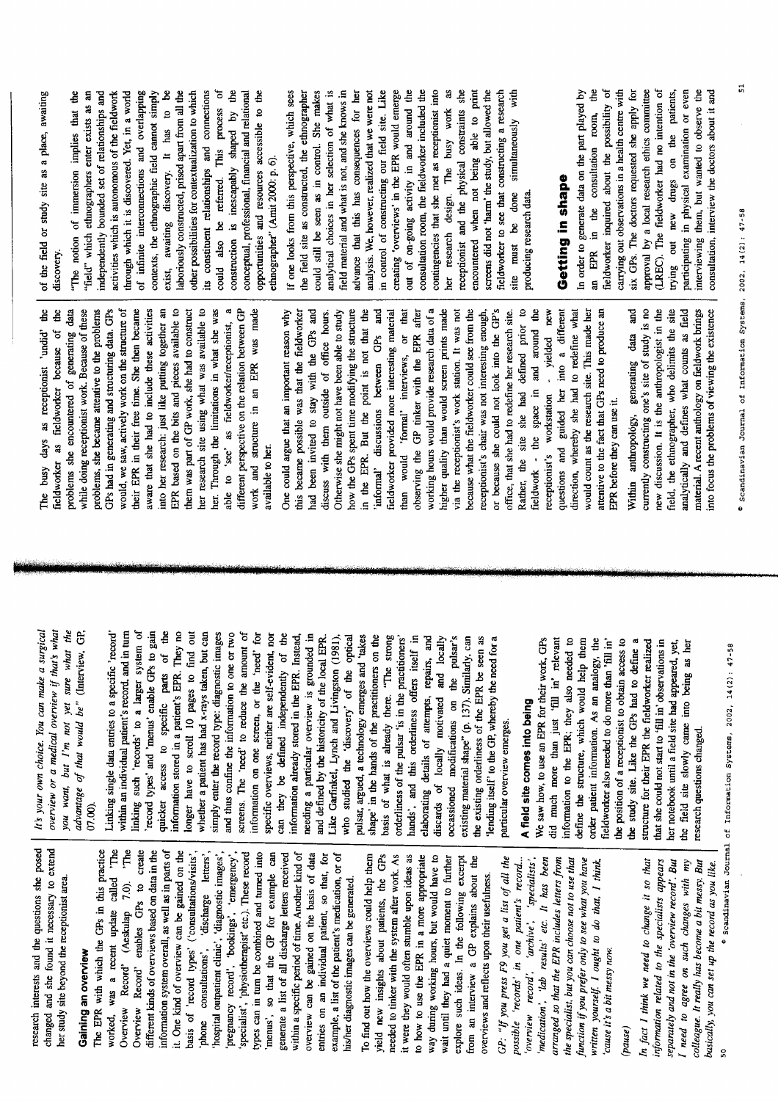| she posed<br>research interests and the questions                                                  | It's your own choice. You can make a surgical                                               |                                                                                          |
|----------------------------------------------------------------------------------------------------|---------------------------------------------------------------------------------------------|------------------------------------------------------------------------------------------|
| changed and she found it necessary to extend                                                       | overview or a medical overview if that's what                                               | The busy days as receptionist 'undid' the                                                |
| her study site beyond the receptionist area.                                                       | you want, but I'm not yet sure what the                                                     | fieldworker as fieldworker because of the<br>problems she encountered of generating data |
| Gaining an overview                                                                                | advantage of that would be" (Interview, GP,                                                 | while doing receptionist work. Because of these                                          |
| The EPR with which the GPs in this practice                                                        | 07.00                                                                                       | problems, she became attentive to the problems                                           |
| called 'The<br>worked, was a recent update                                                         | Linking single data entries to a specific 'record'                                          | GPs had in generating and structuring data. GPs                                          |
| 7.0). The<br>Overview Record' (Aeskulap                                                            | within an individual patient's record, and in turn                                          | would, we saw, actively work on the structure of                                         |
| to create<br>Overview Record' enables GPs                                                          | linking such 'records' to a larger system of                                                | their EPR in their free time. She then became                                            |
| different kinds of overviews based on data in the                                                  | record types' and 'menus' enable GPs to gain                                                | aware that she had to include these activities                                           |
| information system overall, as well as in parts of                                                 | quicker access to specific parts of the                                                     | into her research: just like putting together an                                         |
| it. One kind of overview can be gained on the                                                      | information stored in a patient's EPR. They no                                              | EPR based on the bits and pieces available to                                            |
| basis of 'record types' ('consultations/visits',                                                   | longer have to scroll 10 pages to find out                                                  | them was part of GP work, she had to construct                                           |
| 'discharge letters',<br>consultations',<br>phone                                                   | whether a patient has had x-rays taken, but can                                             | her research site using what was available to                                            |
| 'hospital outpatient clinic', 'diagnostic images',                                                 | simply enter the record type: diagnostic images                                             | her. Through the limitations in what she was                                             |
|                                                                                                    | and thus confine the information to one or two                                              | able to 'see' as fieldworker/receptionist, a                                             |
| pregnancy record', 'bookings', 'emergency',<br>'specialist', 'physiotherapist' etc.). These record | screens. The 'need' to reduce the amount of                                                 | different perspective on the relation between GP                                         |
| types can in turn be combined and turned into                                                      | information on one screen, or the 'need' for                                                | work and structure in an EPR was made                                                    |
| menus', so that the GP for example can                                                             | specific overviews, neither are self-evident, nor                                           | available to her.                                                                        |
| generate a list of all discharge letters received                                                  | can they be defined independently of the                                                    | One could argue that an important reason why                                             |
| within a specific period of time. Another kind of                                                  | information already stored in the EPR. Instead,                                             | this became possible was that the fieldworker                                            |
| overview can be gained on the basis of data                                                        | needing a particular overview is grounded in                                                | had been invited to stay with the GPs and                                                |
| entries on an individual patient, so that, for                                                     | and defined by the historicity of the local EPR.                                            | discuss with them outside of office hours.                                               |
| example, a list of the patient's medication, or of                                                 | Like Garfinkel, Lynch and Livingston (1981),                                                | Otherwise she might not have been able to study                                          |
| his/her diagnostic images can be generated.                                                        | who studied the 'discovery' of the optical                                                  |                                                                                          |
|                                                                                                    | pulsar, argued, a technology emerges and 'takes                                             | how the GPs spent time modifying the structure                                           |
| To find out how the overviews could help them                                                      |                                                                                             | in the EPR. But the point is not that the                                                |
| the GP <sub>s</sub><br>yield new insights about patients,                                          | shape' in the hands of the practitioners on the basis of what is already there. "The strong | 'informal' discussions between GPs and                                                   |
| work. As<br>needed to tinker with the system after                                                 | orderliness of the pulsar 'is in the practitioners'                                         | fieldworker provided more interesting material                                           |
| it were they would often stumble upon ideas as                                                     |                                                                                             | than would 'formal' interviews, or that                                                  |
| to how to use the EPR in a more appropriate                                                        | hands', and this orderliness offers itself in                                               | observing the GP tinker with the EPR after                                               |
| way during working hours, but would have to                                                        | elaborating details of attempts, repairs, and                                               | working hours would provide research data of a                                           |
| wait until they had a quiet moment to further                                                      | discards of locally motivated and locally                                                   | higher quality than would screen prints made                                             |
| excerpt<br>explore such ideas. In the following                                                    | occassioned modifications on the pulsar's                                                   | via the receptionist's work station. It was not                                          |
| from an interview a GP explains about the                                                          | existing material shape" (p. 137). Similarly, can                                           | because what the fieldworker could see from the                                          |
| overviews and reflects upon their usefulness.                                                      | the existing orderliness of the EPR be seen as                                              | receptionist's chair was not interesting enough,                                         |
|                                                                                                    | 'lending itself' to the GP, whereby the need for a                                          | or because she could not look into the GP's                                              |
| GP: "If you press F9 you get a list of all the<br>possible 'records' in one patient's              | particular overview emerges.                                                                | office, that she had to redefine her research site.                                      |
| 'overview record', 'archive', 'specialists',<br>record                                             | A field site comes into being                                                               | Rather, the site she had defined prior to                                                |
| 'medication', 'lab results' etc. It has been                                                       | We saw how, to use an EPR for their work, GPs                                               | fieldwork - the space in and around the                                                  |
| arranged so that the EPR includes letters from                                                     | did much more than just 'fill in' relevant                                                  | receptionist's workstation - yielded new                                                 |
| the specialist, but you can choose not to use that                                                 | information to the EPR; they also needed to                                                 | questions and guided her into a different                                                |
| function if you prefer only to see what you have                                                   | define the structure, which would help them                                                 | direction, whereby she had to redefine what                                              |
| written yourself. I ought to do that,                                                              | order patient information. As an analogy, the                                               | would count as the research site. This made her                                          |
| I think,<br>cause it's a bit messy now.                                                            | fieldworker also needed to do more than 'fill in'                                           | attentive to the fact that GPs need to produce an                                        |
|                                                                                                    | the position of a receptionist to obtain access to                                          | EPR before they can use it.                                                              |
| (pause)                                                                                            | the study site. Like the GPs had to define a                                                | Within anthropology, generating data and                                                 |
| In fact I think we need to change it so that                                                       | structure for their EPR the fieldworker realized                                            | currently constructing one's site of study is no                                         |
|                                                                                                    |                                                                                             |                                                                                          |

contexts, the ethnographic field cannot simply exist, awaiting discovery. It has to be laboriously constructed, prised apart from all the other possibilities for contextualization to which its constituent relationships and connections could also be referred. This process of conceptual, professional, financial and relational opportunities and resources accessible to the of the field or study site as a place, awaiting 'field" which ethnographers enter exists as an independently bounded set of relationships and activities which is autonomous of the fieldwork through which it is discovered. Yet, in a world of infinite interconnections and overlapping construction is inescapably shaped by the "The notion of immersion implies that the discovery. le to data de to  $\sin a$  $GP$ made  $\frac{1}{2}$ these  $\mathfrak{r}\mathfrak{o}\mathfrak{f}$  $c$ arne vities er an struct e<br>de lems Ĝ was

analytical choices in her selection of what is in control of constructing our field site. Like contingencies that she met as receptionist into receptionist and the physical constraints she screens did not 'harm' the study, but allowed the If one looks from this perspective, which sees could still be seen as in control. She makes field material and what is not, and she knows in advance that this has consequences for her out of on-going activity in and around the encountered when not being able to print fieldworker to see that constructing a research site must be done simultaneously with the field site as constructed, the ethnographer analysis. We, however, realized that we were not creating 'overviews' in the EPR would emerge consultation room, the fieldworker included the her research design. The busy work as ethnographer" (Amit 2000: p. 6). producing research data.

# Getting in shape

fieldworker inquired about the possibility of carrying out observations in a health centre with six GPs. The doctors requested she apply for (LREC). The fieldworker had no intention of In order to generate data on the part played by an EPR in the consultation room, the approval by a local research ethics committee participating in physical examination or even interviewing them, but wanted to observe the consultation, interview the doctors about it and trying out new drugs on the patients,

new discussion. It is the anthropologist in the field, the ethnographer, who delimits the site analytically and defines what counts as field material. A recent anthology on fieldwork brings

that she could not start to 'fill in' observations in her notebook until a field site had appeared, yet,

information related to the specialists appears separately and not in the 'overview record'. But I need to agree on such changes with my<br>colleague. It really has become a bit messy. But basically, you can set up the record as you like.

the field site slowly came into being as her

research questions changed.

6 Scandinavian Journal of Information Systems, 2002, 14(2): 47-58

 $\overline{5}$ 

into focus the problems of viewing the existence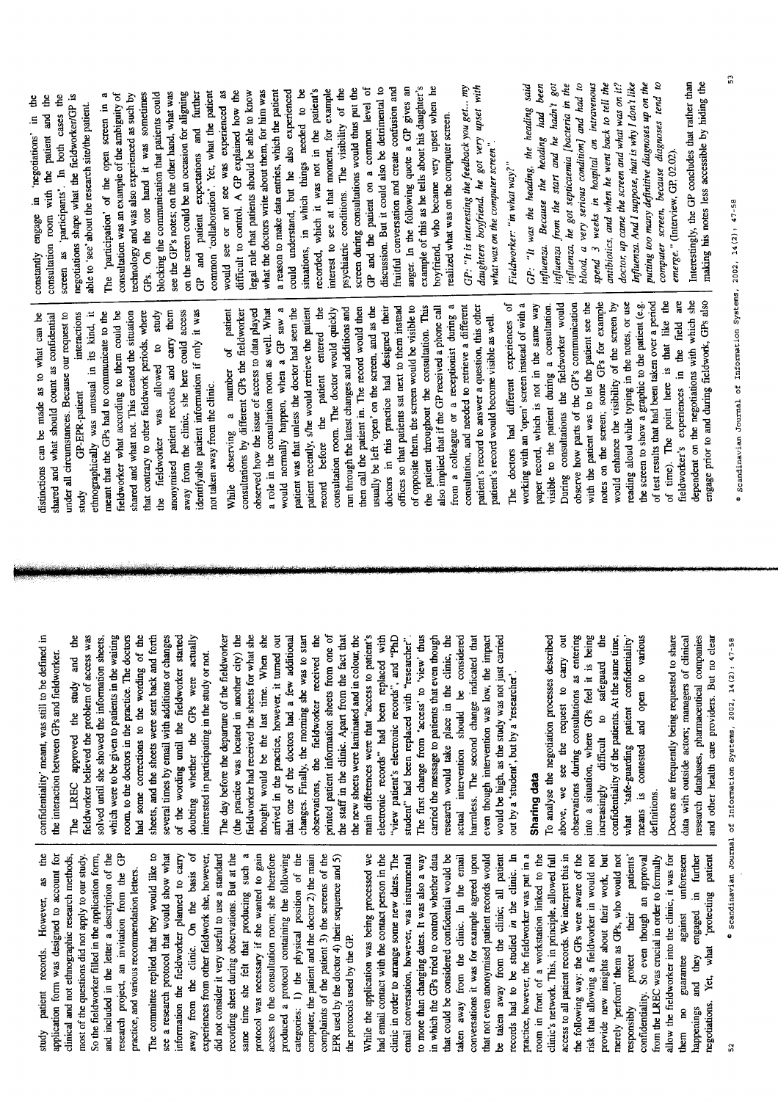study patient records. However, as the application form was designed to account for most of the questions did not apply to our study. So the fieldworker filled in the application form, and included in the letter a description of the research project, an invitation from the GP clinical and not ethnographic research methods, practice, and various recommendation letters.

The committee replied that they would like to away from the clinic. On the basis of same time she felt that producing such a protocol was necessary if she wanted to gain access to the consultation room; she therefore see a research protocol that would show what experiences from other fieldwork she, however, did not consider it very useful to use a standard recording sheet during observations. But at the categories: 1) the physical position of the computer, the patient and the doctor 2) the main complaints of the patient 3) the screens of the EPR used by the doctor 4) their sequence and 5) nformation the fieldworker planned to carry produced a protocol containing the following the protocols used by the GP.

conversations it was for example agreed upon that not even anonymised patient records would records had to be studied in the clinic. In practice, however, the fieldworker was put in a access to all patient records. We interpret this in and they engaged in further Yet, what 'protecting patient While the application was being processed we had email contact with the contact person in the to more than changing dates. It was also a way in which the GPs tried to control whether data that could be considered confidential would be be taken away from the clinic; all patient room in front of a workstation linked to the clinic's network. This, in principle, allowed full the following way: the GPs were aware of the risk that allowing a fieldworker in would not provide new insights about their work, but merely 'perform' them as GPs, who would not patients' them no guarantee against unforeseen clinic in order to arrange some new dates. The email conversation, however, was instrumental taken away from the clinic. In the email confidentiality. So even though an approval allow the fieldworker into the clinic, it was for from the LREC was crucial in order to formally their protect regotiations. responsibly appenings

confidentiality' meant, was still to be defined in the interaction between GPs and fieldworker.

fieldworker believed the problem of access was which were to be given to patients in the waiting coom, to the doctors in the practice. The doctors nad some corrections to the wording of the sheets, and the sheets were sent back and forth several times by email with additions or changes of the wording until the fieldworker started doubting whether the GPs were actually The LREC approved the study and the solved until she showed the information sheets, interested in participating in the study or not.

thought would be the last time. When she that one of the doctors had a few additional<br>changes. Finally, the morning she was to start observations, the fieldworker received the printed patient information sheets from one of the staff in the clinic. Apart from the fact that "view patient's electronic records", and "PhD The day before the departure of the fieldworker fieldworker had received the sheets for what she arrived in the practice, however, it turned out main differences were that "access to patient's electronic records" had been replaced with The first change from 'access' to 'view' thus (the practice was located in another city) the the new sheets were larninated and in colour, the carried the message to patients that even though research would take place in the clinic, the actual intervention should be considered even though intervention was low, the impact would be high, as the study was not just carried student" had been replaced with "researcher". harmless. The second change indicated that out by a 'student', but by a 'researcher'.

# Sharing data

observations during consultations as entering into a situation, where GPs feel it is being increasingly difficult to safeguard the confidentiality of the patients. At the same time, To analyse the negotiation processes described above, we see the request to carry out 'safe-guarding patient confidentiality' and open to various means is contested definitions. what

Doctors are frequently being requested to share research databases, pharmaceutical companies and other health care providers. But no clear data with outside actors; managers of clinical

· Scandinavian Journal of Information Systems, 2002, 14(2): 47-58

ethnographically was unusual in its kind, it anonymised patient records and carry them away from the clinic, she here could access dentifyable patient information if only it was listinctions can be made as to what can be shared and what should count as confidential under all circumstances. Because our request to fieldworker what according to them could be shared and what not. This created the situation hat contrary to other fieldwork periods, where the fieldworker was allowed to study meant that the GPs had to communicate to the interactions not taken away from the clinic. **GP-EPR-patient** study

of opposite them, the screen would be visible to the patient throughout the consultation. This from a colleague or a receptionist during a consultation, and needed to retrieve a different patient's record to answer a question, this other offices so that patients sat next to them instead also implied that if the GP received a phone call would normally happen, when a GP saw a then call the patient in. The record would then usually be left 'open' on the screen, and as the patient was that unless the doctor had seen the patient recently, s/he would retrieve the patient record before the patient entered the run through the latest changes and additions and doctors in this practice had designed their of patient consultations by different GPs the fieldworker observed how the issue of access to data played a role in the consultation room as well. What consultation room. The doctor would quickly patient's record would become visible as well. While observing a number

dependent on the negotiations with which she<br>engage prior to and during fieldwork, GPs also  $\mathbf{d}$ notes on the screen; some GPs for example reading aloud while typing in the notes, or use of test results that had been taken over a period working with an 'open' screen instead of with a observe how parts of the GP's communication with the patient was to let the patient see the would enhance the visibility of the screen by the screen to show a graphic to the patient (e.g. are ð visible to the patient during a consultation. During consultations the fieldworker would paper record, which is not in the same way The doctors had different experiences of time). The point here is that like fieldworker's experiences in the field

screen as 'participants'. In both cases the negotiations shape what the fieldworker/GP is  $\frac{6}{10}$ able to 'see' about the research site/the patient. consultation room with the patient and 9. constantly engage in 'negotiations'

example of this as he tells about his daughter's boyfriend, who became very upset when he discussion. But it could also be detrimental to anger. In the following quote a GP gives an GP and the patient on a common level of fruitful conversation and create confusion and could understand, but he also experienced situations, in which things needed to be recorded, which it was not in the patient's interest to see at that moment, for example psychiatric conditions. The visibility of the screen during consultations would thus put the legal rule that patients should be able to know what the doctors write about them, for him was a reason to make data entries, which the patient  $\frac{a}{2}$ GP and patient expectations and further would see or not see was experienced as difficult to control. A GP explained how the consultation was an example of the ambiguity of GPs. On the one hand it was sometimes blocking the communication that patients could see the GP's notes; on the other hand, what was on the screen could be an occasion for aligning common 'collaboration'. Yet, what the patient technology and was also experienced as such by realized what was on the computer screen. The 'participation' of the open screen

 $GP$ . "It is interesting the feedback you get... my daughters boyfriend, he got very upset with what was on the computer screen".

Fieldworker: "in what way?"

doctor, up came the screen and what was on it? putting too many definitive diagnoses up on the computer screen, because diagnoses tend to influenza from the start and he hadn't got blood, a very serious condition] and had to antibiotics, and when he went back to tell the Influenza. And I suppose, that is why I don't like GP: "It was the heading, the heading said influenza. Because the heading had been influenza, he got septicaemia [bacteria in the spend 3 weeks in hospital on intravenous emerge." (Interview, GP, 02.02).

Interestingly, the GP concludes that rather than making his notes less accessible by hiding the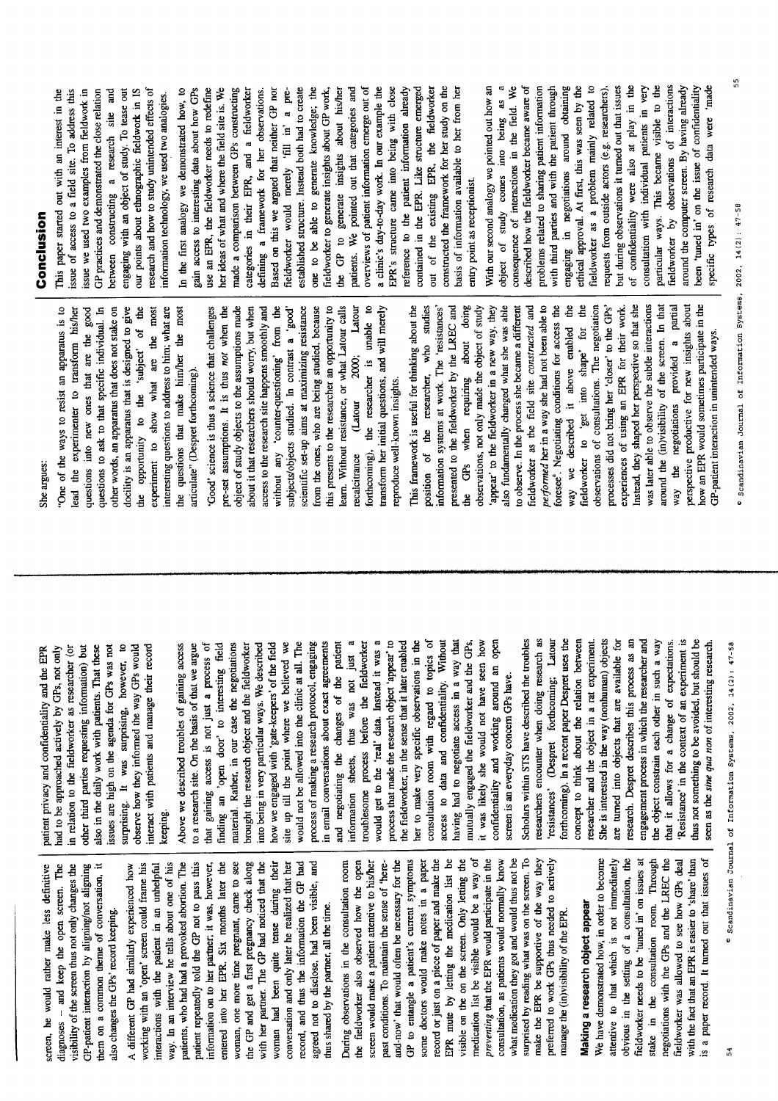| į<br>$\frac{1}{2}$                                                           | preventing that the EPR would participate in the                                              |
|------------------------------------------------------------------------------|-----------------------------------------------------------------------------------------------|
| it was likely she would not have                                             | medication list be visible would be a way of                                                  |
| mutually engaged the fieldworker a<br>having had to negotiate access in      | visible on the on the screen. Only letting the                                                |
| access to data and confidentiali                                             | EPR mute by letting the medication list be                                                    |
| consultation room with regard to                                             | record or just on a piece of paper and make the                                               |
| her to make very specific observa                                            | some doctors would make notes in a paper                                                      |
| the fieldworker, in the sense that it la                                     | GP to entangle a patient's current symptoms                                                   |
| process that made the research object                                        | and-now' that would often be necessary for the                                                |
| would get to the 'real' data. Instea                                         | past conditions. To maintain the sense of 'here-                                              |
| troublesome process before the                                               | screen would make a patient attentive to his/her                                              |
| thus was n<br>information sheets,                                            | the fieldworker also observed how the open                                                    |
| and negotiating the changes of                                               | During observations in the consultation room                                                  |
| in email conversations about exact                                           | thus shared by the partner, all the time.                                                     |
| process of making a research protoco                                         | agreed not to disclose, had been visible, and                                                 |
| would not be allowed into the clinic                                         | record, and thus the information the GP had                                                   |
| site up till the point where we b                                            | conversation and only later he realized that her                                              |
| how we engaged with 'gate-keepers'                                           | woman had been quite tense during their                                                       |
| into being in very particular ways. W<br>brought the research object and the | with her partner. The GP had noticed that the<br>the GP and get a first pregnancy check along |
|                                                                              | woman, one more time pregnant, came to see                                                    |
| finding an 'open door' to intere<br>material. Rather, in our case the r      | entered into her EPR. Six months later the                                                    |
| that gaining access is not just a                                            | information on to her partner; it was, however,                                               |
| to a research site. On the basis of tha                                      | patient repeatedly told the GP not to pass this                                               |
| Above we described troubles of gain                                          | patients, who had had a provoked abortion. The                                                |
| keeping.                                                                     | way. In an interview he tells about one of his                                                |
|                                                                              | interactions with the patient in an unhelpful                                                 |
| interact with patients and manage t                                          | working with an 'open' screen could frame his                                                 |
| surprising. It was surprising, ho<br>observe how they informed the way       | A different GP had similarly experienced how                                                  |
| issues are high on the agenda for G                                          | also changes the GPs' record keeping.                                                         |
| also in the daily work with patients.                                        | them on a common theme of conversation, it                                                    |
| other third parties requesting inform                                        | GP-patient interaction by aligning/not aligning                                               |
| in relation to the fieldworker as rese                                       | visibility of the screen thus not only changes the                                            |
| had to be approached actively by GP                                          | and keep the open screen. The<br>$\bar{1}$<br>diagnoses                                       |

We have demonstrated how, in order to become fieldworker needs to be 'tuned in' on issues at stake in the consultation room. Through is a paper record. It turned out that issues of obvious in the setting of a consultation, the ieldworker was allowed to see how GPs deal with the fact that an EPR is easier to 'share' than attentive to that which is not immediately negotiations with the GPs and the LREC the Making a research object appear

what medication they got and would thus not be surprised by reading what was on the screen. To preferred to work GPs thus needed to actively

make the EPR be supportive of the way they

nanage the (in)visibility of the EPR.

consultation, as patients would normally know

GPs, not only archer (or That these wever, to **GPs** would screen, he would rather make less definitive | patient privacy and confidentiality and the EPR nation) but by was not eir record

o topics of d it was a or reader, ty. Without egotiations agreements the patient ot just a fieldworker tter enabled ions in the a way that nd the GPs, it was likely she would not have seen how confidentiality and working around an open of the field at all. The I, engaging process of sting field ieldworker e described slieved we ing access t we argue screen is an everyday concern GPs have.

forthcoming). In a recent paper Despret uses the researchers encounter when doing research as concept to think about the relation between researcher and the object in a rat experiment. She is interested in the way (nonhuman) objects research. Despret describes this process as an engagement process in which the researcher and the object constrain each other in such a way that it allows for a change of expectations. 'Resistance' in the context of an experiment is Scholars within STS have described the troubles 'resistances' (Despret forthcoming; Latour are turned into objects that are available for thus not something to be avoided, but should be seen as the sine qua non of interesting research.

She argues:

One of the ways to resist an apparatus is to questions to ask to that specific individual. In other words, an apparatus that does not stake on docility is an apparatus that is designed to give the opportunity to the 'subject' of the interesting questions to address to him; what are questions into new ones that are the good experiment to show what are the most lead the experimenter to transform his/her the questions that make him/her the most articulate" (Despret forthcoming).

this presents to the researcher an opportunity to forthcoming), the researcher is unable to transform her initial questions, and will merely object of study objects to the assumptions made learn. Without resistance, or what Latour calls access to the research site happens smoothly and from the ones, who are being studied, because Latour 'Good' science is thus a science that challenges pre-set assumptions. It is thus not when the about it that researchers should worry, but when without any 'counter-questioning' from the scientific set-up aims at maximizing resistance subjects/objects studied. In contrast a 'good' 2000; reproduce well-known insights. (Latour recalcitrance

partial performed her in a way she had not been able to observations of consultations. The negotiation Instead, they shaped her perspective so that she was later able to observe the subtle interactions around the (in)visibility of the screen. In that perspective productive for new insights about how an EPR would sometimes participate in the information systems at work. The 'resistances' presented to the fieldworker by the LREC and when requiring about doing appear' to the fieldworker in a new way, they also fundamentally changed what she was able to observe. In the process she became a different foresee". Negotiating conditions for access the way we described it above enabled the ë processes did not bring her 'closer' to the GPs' This framework is useful for thinking about the position of the researcher, who studies observations, not only made the object of study fieldworker as the field site constructed and experiences of using an EPR for their work. fieldworker to 'get into shape' for GP-patient interaction in unintended ways. way the negotiations provided a GP<sub>s</sub> te<br>S

# Conclusion

issue of access to a field site. To address this issue we used two examples from fieldwork in GP practices and demonstrated the close relation between constructing a research site and engaging with an object of study. To tease out our points about ethnographic fieldwork in IS research and how to study unintended effects of This paper started out with an interest in the information technology, we used two analogies.

a clinic's day-to-day work. In our example the out of the existing EPR, the fieldworker In the first analogy we demonstrated how, to gain access to interesting data about how GPs use an EPR, the fieldworker needs to redefine her ideas of what and where the field site is. We made a comparison between GPs constructing defining a framework for her observations. Based on this we argued that neither GP nor fieldworker would merely 'fill in' a preestablished structure. Instead both had to create one to be able to generate knowledge; the fieldworker to generate insights about GP work, the GP to generate insights about his/her patients. We pointed out that categories and overviews of patient information emerge out of EPR's structure came into being with close reference to the patient information already contained in the EPR. Like structure emerged constructed the framework for her study on the basis of information available to her from her categories in their EPR, and a fieldworker entry point as receptionist.

object of study comes into being as a fieldworker as a problem mainly related to but during observations it turned out that issues of confidentiality were also at play in the particular ways. This became visible to the fieldworker by observations of interactions around the computer screen. By having already specific types of research data were 'made consequence of interactions in the field. We described how the fieldworker became aware of problems related to sharing patient information with third parties and with the patient through engaging in negotiations around obtaining ethical approval. At first, this was seen by the requests from outside actors (e.g. researchers), consultation with individual patients in very been 'tuned in' on the issue of confidentiality With our second analogy we pointed out how an

· Scandinavian Journal of Information Systems, 2002, 14(2): 47-58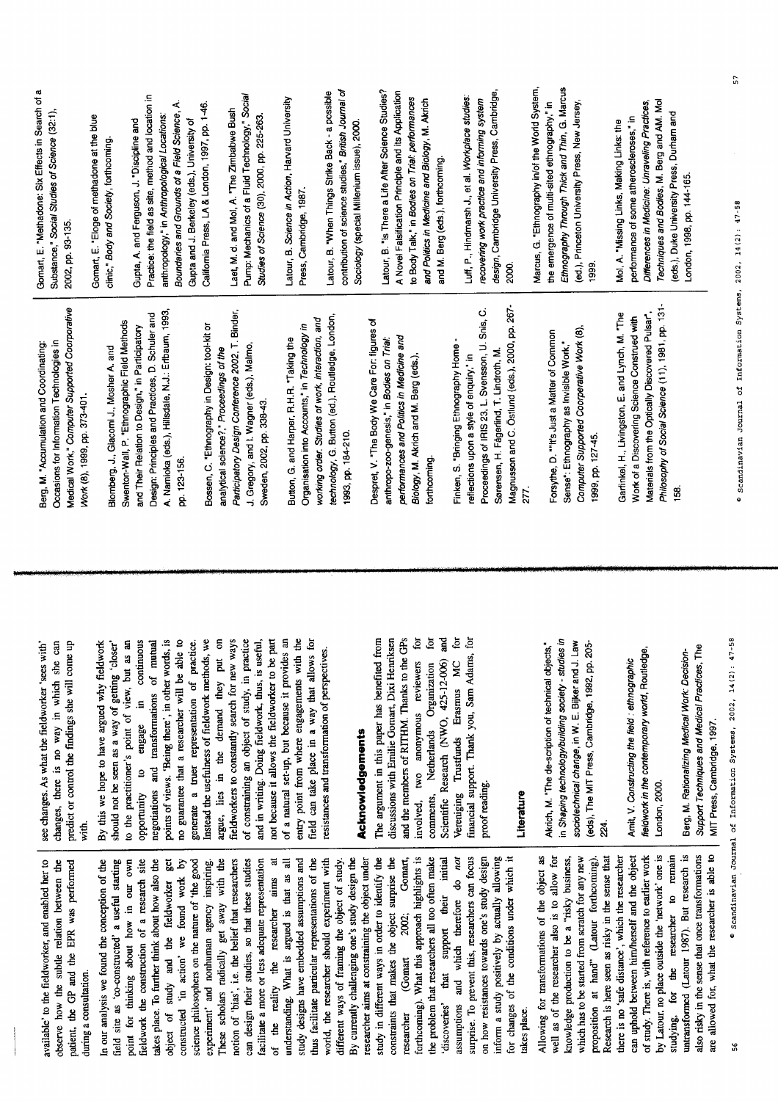| available' to the fieldworker, and enabled her to                            | see changes. As what the fieldworker 'sees with'                                              | Berg, M. "Accumulation and Coordinating:                                                    | Substano<br>Gomart, |
|------------------------------------------------------------------------------|-----------------------------------------------------------------------------------------------|---------------------------------------------------------------------------------------------|---------------------|
| observe how the subtle relation between the                                  | changes, there is no way in which she can<br>predict or control the findings she will come up | Medical Work," Computer Supported Coorporative<br>Occasions for Information Technologies in | 2002, pp            |
| patient, the GP and the EPR was performed<br>during a consultation.          | with.                                                                                         | Work (8), 1999, pp. 373-401.                                                                |                     |
| In our analysis we found the conception of the                               | By this we hope to have argued why fieldwork                                                  |                                                                                             | Gomart,             |
| field site as 'co-constructed' a useful starting                             | should not be seen as a way of getting 'closer'                                               | Blomberg, J., Giacomi J., Mosher A. and                                                     | clinic," B          |
| point for thinking about how in our own                                      | to the practitioner's point of view, but as an                                                | Swenton-Wall, P. "Ethnographic Field Methods                                                |                     |
| fieldwork the construction of a research site                                | continuous<br>$\overline{a}$ .<br>engage<br>opportunity to                                    | and Their Relation to Design," in Participatory                                             | Gupta, A            |
| takes place. To further think about how also the                             | vppvuuuuv w vusese in vuunnuvus<br>negotiations and transformations of mutual                 | Design: Principles and Practices, D. Schuler and                                            | Practice            |
| get<br>study and the fieldworker<br>object of                                | points of views. 'Being there', in other words, is                                            | A. Namioka (eds.), Hillsdale, N.J.: Erlbaum, 1993,                                          | anthropo            |
| constructed 'in action' we found work by                                     | no guarantee that a researcher will be able to                                                | pp. 123-156.                                                                                | Bounda              |
| science philosophers on the nature of 'the good                              | generate a truer representation of practice.                                                  |                                                                                             | Gupta a             |
| experiment' and nonhuman agency inspiring.                                   | Instead the usefulness of fieldwork methods, we                                               | Bossen, C. "Ethnography in Design: tool-kit or                                              | Californi           |
| These scholars radically get away with the                                   | argue, lies in the demand they put on                                                         | analytical science?," Proceedings of the                                                    |                     |
| notion of 'bias', i.e. the belief that researchers                           | fieldworkers to constantly search for new ways                                                | Participatory Design Conference 2002, T. Binder,                                            | Laet, M.            |
| can design their studies, so that these studies                              | of constraining an object of study, in practice                                               | J. Gregory, and I. Wagner (eds.), Malmo,                                                    | Pump: N             |
| facilitate a more or less adequate representation                            | and in writing. Doing fieldwork, thus, is useful,                                             | Sweden, 2002, pp. 338-43.                                                                   | <b>Studies</b>      |
| $\ddot{a}$<br>reality the researcher aims<br>of the                          | not because it allows the fieldworker to be part                                              |                                                                                             |                     |
| understanding. What is argued is that as all                                 | of a natural set-up, but because it provides an                                               | Button, G. and Harper, R.H.R. "Taking the                                                   | Latour,             |
| study designs have embedded assumptions and                                  | entry point from where engagements with the                                                   | Organisation into Accounts," in Technology in                                               | Press, C            |
| thus facilitate particular representations of the                            | field can take place in a way that allows for                                                 | working order. Studies of work, interaction, and                                            |                     |
| world, the researcher should experiment with                                 | resistances and transformation of perspectives.                                               | technology, G. Button (ed.), Routledge, London,                                             | Latour,             |
| different ways of framing the object of study.                               |                                                                                               |                                                                                             | contribu            |
| By currently challenging one's study design the                              |                                                                                               | 1993, pp. 184-210.                                                                          | Sociolo             |
| researcher aims at constraining the object under                             | <b>Acknowledgements</b>                                                                       |                                                                                             |                     |
| study in different ways in order to identify the                             | The argument in this paper has benefited from                                                 | Despret, V. "The Body We Care For: figures of                                               |                     |
| constraints that makes the object surprise the                               | discussions with Emilie Gomart, Dixi Henriksen                                                | anthropo-zoo-genesis," in Bodies on Trial:                                                  | Latour,             |
| Gomart,<br>2002;<br>(Gomart<br>researcher                                    | and the members of RITHM. Thanks to the GPs                                                   | performances and Politics in Medicine and                                                   | A Nove              |
| forthcoming). What this approach highlights is                               | .<br>E<br>anonymous reviewers<br>involved, two                                                | Biology, M. Akrich and M. Berg (eds.),                                                      | to Body             |
| the problem that researchers all too often make                              | .b<br>Netherlands Organization<br>comments,                                                   | forthcoming                                                                                 | and Po              |
| initial<br>their<br>support<br>that<br>'discoveries'                         | ដ្ឋ<br>Scientific Research (NWO, 425-12-006)                                                  |                                                                                             | and M.              |
| and which therefore do not<br>assumptions                                    | డ్<br>Vereniging Trustfunds Erasmus MC                                                        | Finken, S. "Bringing Ethnography Home -                                                     |                     |
| surprise. To prevent this, researchers can focus                             | financial support. Thank you, Sam Adams, for                                                  | reflections upon a style of enquiry," in                                                    | Luff, P.            |
|                                                                              |                                                                                               | Proceedings of IRIS 23, L. Svensson, U. Snis, C.                                            | recover             |
| on how resistances towards one's study design                                | proof reading.                                                                                |                                                                                             | design,             |
| inform a study positively by actually allowing                               |                                                                                               | Sørensen, H. Fägerlind, T. Lindroth, M.                                                     |                     |
| for changes of the conditions under which it                                 | Literature                                                                                    | Magnusson and C. Östlund (eds.), 2000, pp. 267-                                             | 2000.               |
| takes place.                                                                 |                                                                                               | 277.                                                                                        |                     |
| Allowing for transformations of the object as                                | Akrich, M. "The de-scription of technical objects,"                                           |                                                                                             | Marcus<br>the em    |
| well as of the researcher also is to allow for                               | in Shaping technology/building society - studies in                                           | Forsythe, D. ""It's Just a Matter of Common                                                 | Ethnog              |
| knowledge production to be a "risky business,                                | sociotechnical change, in W. E. Bijker and J. Law                                             | Sense": Ethnography as Invisible Work,"                                                     |                     |
| which has to be started from scratch for any new                             |                                                                                               | Computer Supported Coorperative Work (8).                                                   | $(ed.)$ , F         |
| proposition at hand" (Latour forthcoming).                                   | (eds), The MIT Press, Cambridge, 1992, pp. 205-                                               | 1999, pp. 127-45.                                                                           | 1999.               |
| Research is here seen as risky in the sense that                             | 24                                                                                            |                                                                                             |                     |
| there is no 'safe distance', which the researcher                            | Amit, V. Constructing the field : ethnographic                                                | Gartinkel, H., Livingston, E. and Lynch, M. "The                                            | Mol <sub>A</sub> .  |
| can uphold between him/herself and the object                                | fieldwork in the contemporary world, Routledge,                                               | Work of a Discovering Science Construed with                                                | perforn             |
| of study. There is, with reference to earlier work                           |                                                                                               | Materials from the Optically Discovered Pulsar*,                                            | Differe             |
| to remain<br>by Latour, no place outside the 'network' one is                | London, 2000.                                                                                 | Philosophy of Social Science (11), 1981, pp. 131-                                           | Techni              |
| untransformed (Latour 1987). But research is<br>studying, for the researcher | Berg, M. Rationalizing Medical Work: Decision-                                                | 158                                                                                         | (eds.),             |
| also risky in the sense that once transformations                            | Support Techniques and Medical Practices, The                                                 |                                                                                             | Londor              |
| are allowed for, what the researcher is able to                              | MIT Press, Cambridge, 1997.                                                                   |                                                                                             |                     |
|                                                                              |                                                                                               |                                                                                             |                     |

E. "Methadone: Six Effects in Search of a ce," Social Studies of Science (32:1), 1, 93-135.

E. "Eloge of methadone at the blue ody and Society, forthcoming.

the field as site, method and location in ies and Grounds of a Field Science, A. ia Press, LA & London, 1997, pp. 1-46. ology," in Anthropological Locations: nd J. Berkeley (eds.), University of . and Ferguson, J. "Discipline and

Mechanics of a Fluid Technology," Social d. and Mol, A. "The Zimbabwe Bush of Science (30), 2000, pp. 225-263.

B. Science in Action, Harvard University Cambridge, 1987.

tion of science studies," British Journal of B. "When Things Strike Back - a possible gy (special Millenium issue), 2000. B. "is There a Life After Science Studies? Falsification Principle and its Application Talk," in Bodies on Trial: performances itics in Medicine and Biology, M. Akrich Berg (eds.), forthcoming.

Cambridge University Press, Cambridge, Hindmarsh J., et al. Workplace studies: ing work practice and informing system

raphy Through Thick and Thin, G. Marcus , G. "Ethnography in/of the World System, ergence of multi-sited ethnography," in rinceton University Press, New Jersey,

nces in Medicine. Unraveling Practices, ques and Bodies, M. Berg and AM. Mol Duke University Press, Durham and nance of some atheroscleroses," in "Missing Links, Making Links: the 1, 1998, pp. 144-165.

56